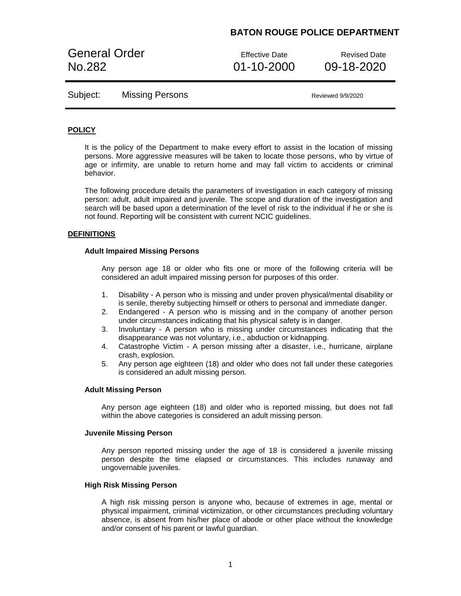General Order **Effective Date** Revised Date No.282 01-10-2000 09-18-2020

Subject: Missing Persons Missing Reviewed 9/9/2020

### **POLICY**

It is the policy of the Department to make every effort to assist in the location of missing persons. More aggressive measures will be taken to locate those persons, who by virtue of age or infirmity, are unable to return home and may fall victim to accidents or criminal behavior.

The following procedure details the parameters of investigation in each category of missing person: adult, adult impaired and juvenile. The scope and duration of the investigation and search will be based upon a determination of the level of risk to the individual if he or she is not found. Reporting will be consistent with current NCIC guidelines.

### **DEFINITIONS**

#### **Adult Impaired Missing Persons**

Any person age 18 or older who fits one or more of the following criteria will be considered an adult impaired missing person for purposes of this order.

- 1. Disability A person who is missing and under proven physical/mental disability or is senile, thereby subjecting himself or others to personal and immediate danger.
- 2. Endangered A person who is missing and in the company of another person under circumstances indicating that his physical safety is in danger.
- 3. Involuntary A person who is missing under circumstances indicating that the disappearance was not voluntary, i.e., abduction or kidnapping.
- 4. Catastrophe Victim A person missing after a disaster, i.e., hurricane, airplane crash, explosion.
- 5. Any person age eighteen (18) and older who does not fall under these categories is considered an adult missing person.

#### **Adult Missing Person**

Any person age eighteen (18) and older who is reported missing, but does not fall within the above categories is considered an adult missing person.

#### **Juvenile Missing Person**

Any person reported missing under the age of 18 is considered a juvenile missing person despite the time elapsed or circumstances. This includes runaway and ungovernable juveniles.

#### **High Risk Missing Person**

A high risk missing person is anyone who, because of extremes in age, mental or physical impairment, criminal victimization, or other circumstances precluding voluntary absence, is absent from his/her place of abode or other place without the knowledge and/or consent of his parent or lawful guardian.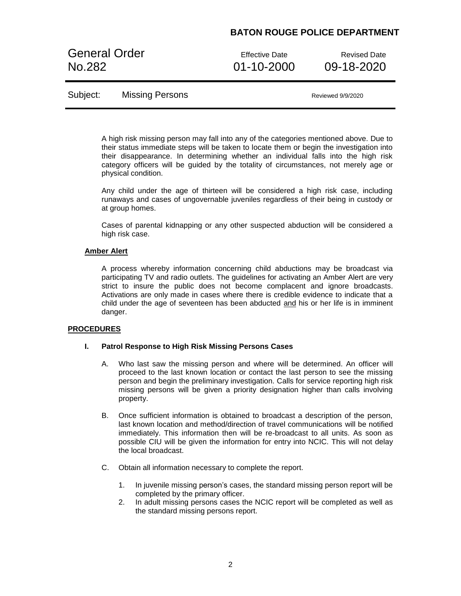General Order **Effective Date** Revised Date No.282 01-10-2000 09-18-2020

Subject: Missing Persons Missing Reviewed 9/9/2020

A high risk missing person may fall into any of the categories mentioned above. Due to their status immediate steps will be taken to locate them or begin the investigation into their disappearance. In determining whether an individual falls into the high risk category officers will be guided by the totality of circumstances, not merely age or physical condition.

Any child under the age of thirteen will be considered a high risk case, including runaways and cases of ungovernable juveniles regardless of their being in custody or at group homes.

Cases of parental kidnapping or any other suspected abduction will be considered a high risk case.

### **Amber Alert**

A process whereby information concerning child abductions may be broadcast via participating TV and radio outlets. The guidelines for activating an Amber Alert are very strict to insure the public does not become complacent and ignore broadcasts. Activations are only made in cases where there is credible evidence to indicate that a child under the age of seventeen has been abducted and his or her life is in imminent danger.

### **PROCEDURES**

#### **I. Patrol Response to High Risk Missing Persons Cases**

- A. Who last saw the missing person and where will be determined. An officer will proceed to the last known location or contact the last person to see the missing person and begin the preliminary investigation. Calls for service reporting high risk missing persons will be given a priority designation higher than calls involving property.
- B. Once sufficient information is obtained to broadcast a description of the person, last known location and method/direction of travel communications will be notified immediately. This information then will be re-broadcast to all units. As soon as possible CIU will be given the information for entry into NCIC. This will not delay the local broadcast.
- C. Obtain all information necessary to complete the report.
	- 1. In juvenile missing person's cases, the standard missing person report will be completed by the primary officer.
	- 2. In adult missing persons cases the NCIC report will be completed as well as the standard missing persons report.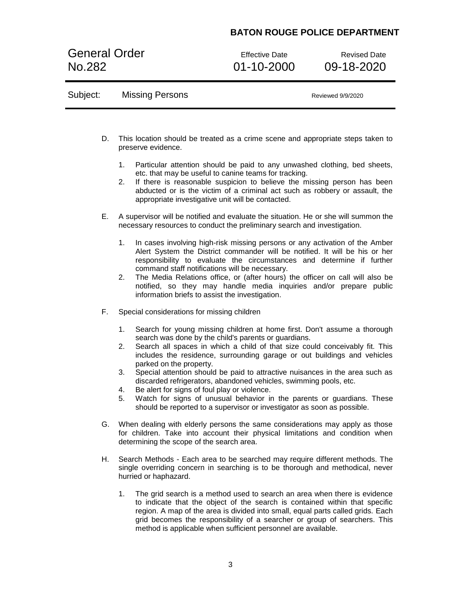General Order **Effective Date** Revised Date No.282 01-10-2000 09-18-2020

| Subject: | <b>Missing Persons</b> | Reviewed 9/9/2020 |
|----------|------------------------|-------------------|
|----------|------------------------|-------------------|

- D. This location should be treated as a crime scene and appropriate steps taken to preserve evidence.
	- 1. Particular attention should be paid to any unwashed clothing, bed sheets, etc. that may be useful to canine teams for tracking.
	- 2. If there is reasonable suspicion to believe the missing person has been abducted or is the victim of a criminal act such as robbery or assault, the appropriate investigative unit will be contacted.
- E. A supervisor will be notified and evaluate the situation. He or she will summon the necessary resources to conduct the preliminary search and investigation.
	- 1. In cases involving high-risk missing persons or any activation of the Amber Alert System the District commander will be notified. It will be his or her responsibility to evaluate the circumstances and determine if further command staff notifications will be necessary.
	- 2. The Media Relations office, or (after hours) the officer on call will also be notified, so they may handle media inquiries and/or prepare public information briefs to assist the investigation.
- F. Special considerations for missing children
	- 1. Search for young missing children at home first. Don't assume a thorough search was done by the child's parents or guardians.
	- 2. Search all spaces in which a child of that size could conceivably fit. This includes the residence, surrounding garage or out buildings and vehicles parked on the property.
	- 3. Special attention should be paid to attractive nuisances in the area such as discarded refrigerators, abandoned vehicles, swimming pools, etc.
	- 4. Be alert for signs of foul play or violence.
	- 5. Watch for signs of unusual behavior in the parents or guardians. These should be reported to a supervisor or investigator as soon as possible.
- G. When dealing with elderly persons the same considerations may apply as those for children. Take into account their physical limitations and condition when determining the scope of the search area.
- H. Search Methods Each area to be searched may require different methods. The single overriding concern in searching is to be thorough and methodical, never hurried or haphazard.
	- 1. The grid search is a method used to search an area when there is evidence to indicate that the object of the search is contained within that specific region. A map of the area is divided into small, equal parts called grids. Each grid becomes the responsibility of a searcher or group of searchers. This method is applicable when sufficient personnel are available.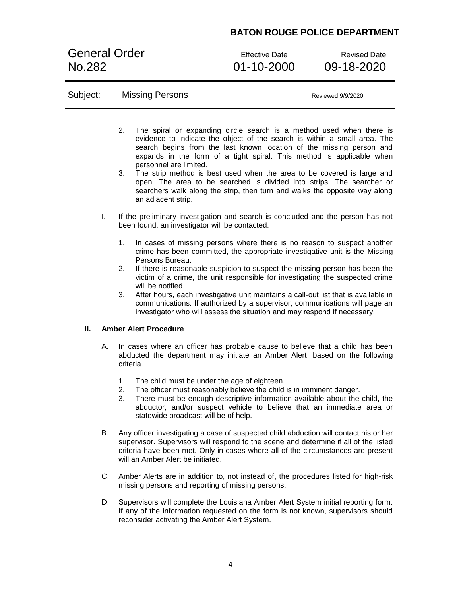General Order **Effective Date** Revised Date No.282 01-10-2000 09-18-2020

### Subject: Missing Persons Missing Reviewed 9/9/2020

- 2. The spiral or expanding circle search is a method used when there is evidence to indicate the object of the search is within a small area. The search begins from the last known location of the missing person and expands in the form of a tight spiral. This method is applicable when personnel are limited.
- 3. The strip method is best used when the area to be covered is large and open. The area to be searched is divided into strips. The searcher or searchers walk along the strip, then turn and walks the opposite way along an adjacent strip.
- I. If the preliminary investigation and search is concluded and the person has not been found, an investigator will be contacted.
	- 1. In cases of missing persons where there is no reason to suspect another crime has been committed, the appropriate investigative unit is the Missing Persons Bureau.
	- 2. If there is reasonable suspicion to suspect the missing person has been the victim of a crime, the unit responsible for investigating the suspected crime will be notified.
	- 3. After hours, each investigative unit maintains a call-out list that is available in communications. If authorized by a supervisor, communications will page an investigator who will assess the situation and may respond if necessary.

### **II. Amber Alert Procedure**

- A. In cases where an officer has probable cause to believe that a child has been abducted the department may initiate an Amber Alert, based on the following criteria.
	- 1. The child must be under the age of eighteen.
	- 2. The officer must reasonably believe the child is in imminent danger.
	- 3. There must be enough descriptive information available about the child, the abductor, and/or suspect vehicle to believe that an immediate area or statewide broadcast will be of help.
- B. Any officer investigating a case of suspected child abduction will contact his or her supervisor. Supervisors will respond to the scene and determine if all of the listed criteria have been met. Only in cases where all of the circumstances are present will an Amber Alert be initiated.
- C. Amber Alerts are in addition to, not instead of, the procedures listed for high-risk missing persons and reporting of missing persons.
- D. Supervisors will complete the Louisiana Amber Alert System initial reporting form. If any of the information requested on the form is not known, supervisors should reconsider activating the Amber Alert System.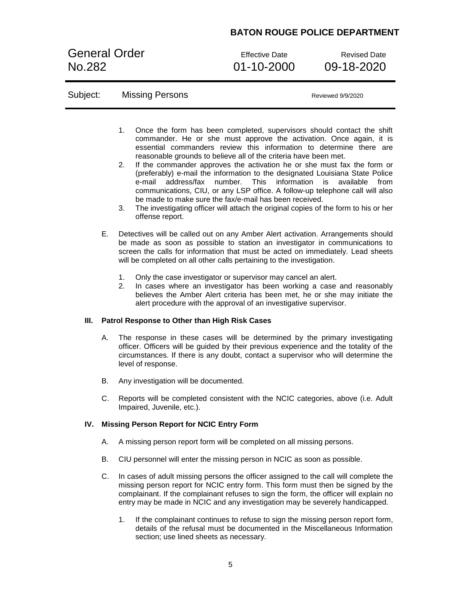General Order **Effective Date** Revised Date No.282 01-10-2000 09-18-2020

| Subject: | <b>Missing Persons</b> | Reviewed 9/9/2020 |
|----------|------------------------|-------------------|
|----------|------------------------|-------------------|

- 1. Once the form has been completed, supervisors should contact the shift commander. He or she must approve the activation. Once again, it is essential commanders review this information to determine there are reasonable grounds to believe all of the criteria have been met.
- 2. If the commander approves the activation he or she must fax the form or (preferably) e-mail the information to the designated Louisiana State Police e-mail address/fax number. This information is available from communications, CIU, or any LSP office. A follow-up telephone call will also be made to make sure the fax/e-mail has been received.
- 3. The investigating officer will attach the original copies of the form to his or her offense report.
- E. Detectives will be called out on any Amber Alert activation. Arrangements should be made as soon as possible to station an investigator in communications to screen the calls for information that must be acted on immediately. Lead sheets will be completed on all other calls pertaining to the investigation.
	- 1. Only the case investigator or supervisor may cancel an alert.
	- 2. In cases where an investigator has been working a case and reasonably believes the Amber Alert criteria has been met, he or she may initiate the alert procedure with the approval of an investigative supervisor.

### **III. Patrol Response to Other than High Risk Cases**

- A. The response in these cases will be determined by the primary investigating officer. Officers will be guided by their previous experience and the totality of the circumstances. If there is any doubt, contact a supervisor who will determine the level of response.
- B. Any investigation will be documented.
- C. Reports will be completed consistent with the NCIC categories, above (i.e. Adult Impaired, Juvenile, etc.).

### **IV. Missing Person Report for NCIC Entry Form**

- A. A missing person report form will be completed on all missing persons.
- B. CIU personnel will enter the missing person in NCIC as soon as possible.
- C. In cases of adult missing persons the officer assigned to the call will complete the missing person report for NCIC entry form. This form must then be signed by the complainant. If the complainant refuses to sign the form, the officer will explain no entry may be made in NCIC and any investigation may be severely handicapped.
	- 1. If the complainant continues to refuse to sign the missing person report form, details of the refusal must be documented in the Miscellaneous Information section; use lined sheets as necessary.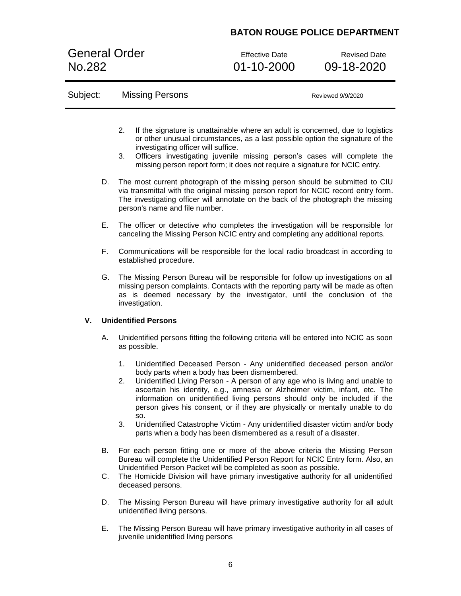General Order **Effective Date** Revised Date No.282 01-10-2000 09-18-2020

# Subject: Missing Persons Missing Reviewed 9/9/2020

- 2. If the signature is unattainable where an adult is concerned, due to logistics or other unusual circumstances, as a last possible option the signature of the investigating officer will suffice.
- 3. Officers investigating juvenile missing person's cases will complete the missing person report form; it does not require a signature for NCIC entry.
- D. The most current photograph of the missing person should be submitted to CIU via transmittal with the original missing person report for NCIC record entry form. The investigating officer will annotate on the back of the photograph the missing person's name and file number.
- E. The officer or detective who completes the investigation will be responsible for canceling the Missing Person NCIC entry and completing any additional reports.
- F. Communications will be responsible for the local radio broadcast in according to established procedure.
- G. The Missing Person Bureau will be responsible for follow up investigations on all missing person complaints. Contacts with the reporting party will be made as often as is deemed necessary by the investigator, until the conclusion of the investigation.

### **V. Unidentified Persons**

- A. Unidentified persons fitting the following criteria will be entered into NCIC as soon as possible.
	- 1. Unidentified Deceased Person Any unidentified deceased person and/or body parts when a body has been dismembered.
	- 2. Unidentified Living Person A person of any age who is living and unable to ascertain his identity, e.g., amnesia or Alzheimer victim, infant, etc. The information on unidentified living persons should only be included if the person gives his consent, or if they are physically or mentally unable to do so.
	- 3. Unidentified Catastrophe Victim Any unidentified disaster victim and/or body parts when a body has been dismembered as a result of a disaster.
- B. For each person fitting one or more of the above criteria the Missing Person Bureau will complete the Unidentified Person Report for NCIC Entry form. Also, an Unidentified Person Packet will be completed as soon as possible.
- C. The Homicide Division will have primary investigative authority for all unidentified deceased persons.
- D. The Missing Person Bureau will have primary investigative authority for all adult unidentified living persons.
- E. The Missing Person Bureau will have primary investigative authority in all cases of juvenile unidentified living persons